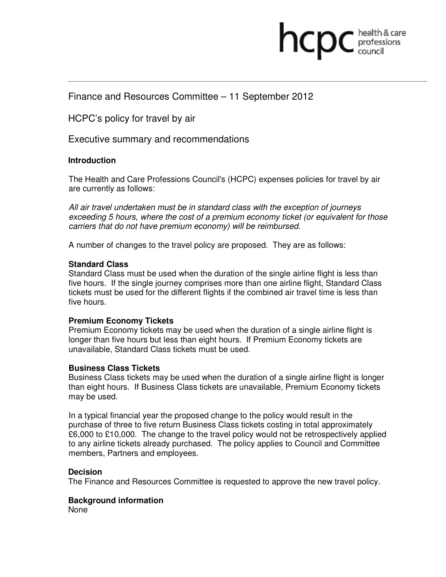# professions

## Finance and Resources Committee – 11 September 2012

### HCPC's policy for travel by air

Executive summary and recommendations

#### **Introduction**

The Health and Care Professions Council's (HCPC) expenses policies for travel by air are currently as follows:

All air travel undertaken must be in standard class with the exception of journeys exceeding 5 hours, where the cost of a premium economy ticket (or equivalent for those carriers that do not have premium economy) will be reimbursed.

A number of changes to the travel policy are proposed. They are as follows:

#### **Standard Class**

Standard Class must be used when the duration of the single airline flight is less than five hours. If the single journey comprises more than one airline flight, Standard Class tickets must be used for the different flights if the combined air travel time is less than five hours.

#### **Premium Economy Tickets**

Premium Economy tickets may be used when the duration of a single airline flight is longer than five hours but less than eight hours. If Premium Economy tickets are unavailable, Standard Class tickets must be used.

#### **Business Class Tickets**

Business Class tickets may be used when the duration of a single airline flight is longer than eight hours. If Business Class tickets are unavailable, Premium Economy tickets may be used.

In a typical financial year the proposed change to the policy would result in the purchase of three to five return Business Class tickets costing in total approximately £6,000 to £10,000. The change to the travel policy would not be retrospectively applied to any airline tickets already purchased. The policy applies to Council and Committee members, Partners and employees.

#### **Decision**

The Finance and Resources Committee is requested to approve the new travel policy.

#### **Background information**

None